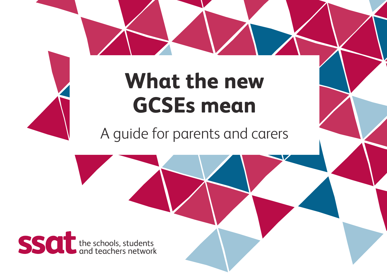# **What the new GCSEs mean**

A guide for parents and carers

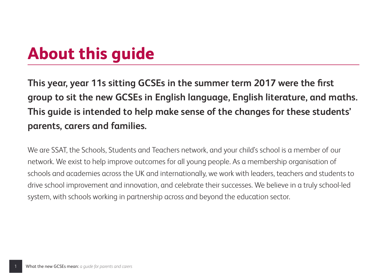## **About this guide**

**This year, year 11s sitting GCSEs in the summer term 2017 were the first group to sit the new GCSEs in English language, English literature, and maths. This guide is intended to help make sense of the changes for these students' parents, carers and families.**

We are SSAT, the Schools, Students and Teachers network, and your child's school is a member of our network. We exist to help improve outcomes for all young people. As a membership organisation of schools and academies across the UK and internationally, we work with leaders, teachers and students to drive school improvement and innovation, and celebrate their successes. We believe in a truly school-led system, with schools working in partnership across and beyond the education sector.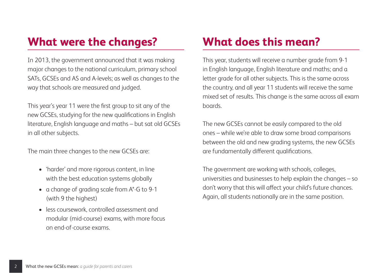## **What were the changes?**

In 2013, the government announced that it was making major changes to the national curriculum, primary school SATs, GCSEs and AS and A-levels; as well as changes to the way that schools are measured and judged.

This year's year 11 were the first group to sit any of the new GCSEs, studying for the new qualifications in English literature, English language and maths – but sat old GCSEs in all other subjects.

The main three changes to the new GCSEs are:

- 'harder' and more rigorous content, in line with the best education systems globally
- a change of grading scale from A\*-G to 9-1 (with 9 the highest)
- less coursework, controlled assessment and modular (mid-course) exams, with more focus on end-of-course exams.

## **What does this mean?**

This year, students will receive a number grade from 9-1 in English language, English literature and maths; and a letter grade for all other subjects. This is the same across the country, and all year 11 students will receive the same mixed set of results. This change is the same across all exam boards.

The new GCSEs cannot be easily compared to the old ones – while we're able to draw some broad comparisons between the old and new grading systems, the new GCSEs are fundamentally different qualifications.

The government are working with schools, colleges, universities and businesses to help explain the changes – so don't worry that this will affect your child's future chances. Again, all students nationally are in the same position.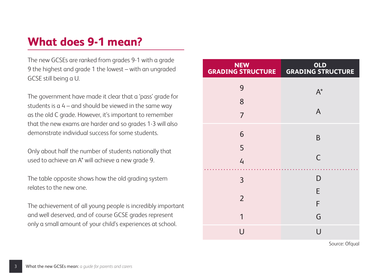## **What does 9-1 mean?**

The new GCSEs are ranked from grades 9-1 with a grade 9 the highest and grade 1 the lowest – with an ungraded GCSE still being a U.

The government have made it clear that a 'pass' grade for students is  $a 4 -$  and should be viewed in the same way as the old C grade. However, it's important to remember that the new exams are harder and so grades 1-3 will also demonstrate individual success for some students.

Only about half the number of students nationally that used to achieve an A\* will achieve a new grade 9.

The table opposite shows how the old grading system relates to the new one.

The achievement of all young people is incredibly important and well deserved, and of course GCSE grades represent only a small amount of your child's experiences at school.

| <b>NEW</b><br><b>GRADING STRUCTURE</b> | OLD<br>GRADING STRUCTURE |
|----------------------------------------|--------------------------|
| 9                                      | $A^*$                    |
| 8                                      |                          |
| $\overline{7}$                         | A                        |
| 6                                      | B                        |
| 5                                      |                          |
| $\mathcal{L}_{\mathsf{I}}$             | C                        |
| 3                                      | D                        |
|                                        | E                        |
| $\overline{2}$                         | F                        |
| 1                                      | G                        |
| U                                      | U                        |

Source: Ofgual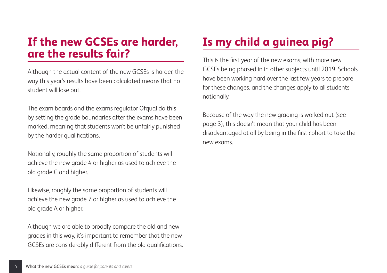#### **If the new GCSEs are harder, are the results fair?**

Although the actual content of the new GCSEs is harder, the way this year's results have been calculated means that no student will lose out.

The exam boards and the exams regulator Ofqual do this by setting the grade boundaries after the exams have been marked, meaning that students won't be unfairly punished by the harder qualifications.

Nationally, roughly the same proportion of students will achieve the new grade 4 or higher as used to achieve the old grade C and higher.

Likewise, roughly the same proportion of students will achieve the new grade 7 or higher as used to achieve the old grade A or higher.

Although we are able to broadly compare the old and new grades in this way, it's important to remember that the new GCSEs are considerably different from the old qualifications.

## **Is my child a guinea pig?**

This is the first year of the new exams, with more new GCSEs being phased in in other subjects until 2019. Schools have been working hard over the last few years to prepare for these changes, and the changes apply to all students nationally.

Because of the way the new grading is worked out (see page 3), this doesn't mean that your child has been disadvantaged at all by being in the first cohort to take the new exams.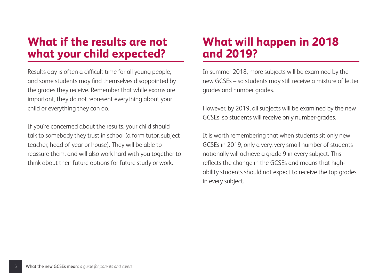### **What if the results are not what your child expected?**

Results day is often a difficult time for all young people, and some students may find themselves disappointed by the grades they receive. Remember that while exams are important, they do not represent everything about your child or everything they can do.

If you're concerned about the results, your child should talk to somebody they trust in school (a form tutor, subject teacher, head of year or house). They will be able to reassure them, and will also work hard with you together to think about their future options for future study or work.

## **What will happen in 2018 and 2019?**

In summer 2018, more subjects will be examined by the new GCSEs – so students may still receive a mixture of letter grades and number grades.

However, by 2019, all subjects will be examined by the new GCSEs, so students will receive only number-grades.

It is worth remembering that when students sit only new GCSEs in 2019, only a very, very small number of students nationally will achieve a grade 9 in every subject. This reflects the change in the GCSEs and means that highability students should not expect to receive the top grades in every subject.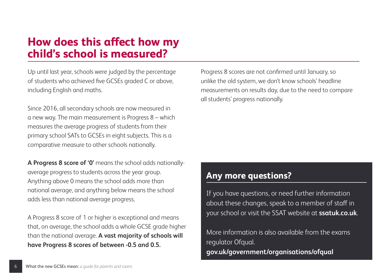#### **How does this affect how my child's school is measured?**

Up until last year, schools were judged by the percentage of students who achieved five GCSEs graded C or above, including English and maths.

Since 2016, all secondary schools are now measured in a new way. The main measurement is Progress 8 – which measures the average progress of students from their primary school SATs to GCSEs in eight subjects. This is a comparative measure to other schools nationally.

**A Progress 8 score of '0'** means the school adds nationallyaverage progress to students across the year group. Anything above 0 means the school adds more than national average, and anything below means the school adds less than national average progress.

A Progress 8 score of 1 or higher is exceptional and means that, on average, the school adds a whole GCSE grade higher than the national average. **A vast majority of schools will have Progress 8 scores of between -0.5 and 0.5.**

Progress 8 scores are not confirmed until January, so unlike the old system, we don't know schools' headline measurements on results day, due to the need to compare all students' progress nationally.

#### **Any more questions?**

If you have questions, or need further information about these changes, speak to a member of staff in your school or visit the SSAT website at **ssatuk.co.uk**.

More information is also available from the exams regulator Ofqual. **gov.uk/government/organisations/ofqual**